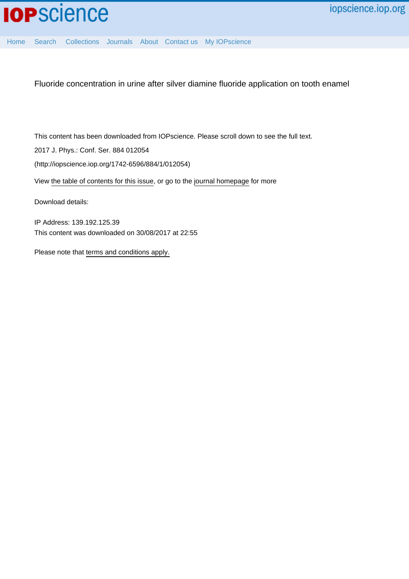[Home](http://iopscience.iop.org/) [Search](http://iopscience.iop.org/search) [Collections](http://iopscience.iop.org/collections) [Journals](http://iopscience.iop.org/journals) [About](http://iopscience.iop.org/page/aboutioppublishing) [Contact us](http://iopscience.iop.org/contact) [My IOPscience](http://iopscience.iop.org/myiopscience)

Fluoride concentration in urine after silver diamine fluoride application on tooth enamel

This content has been downloaded from IOPscience. Please scroll down to see the full text.

2017 J. Phys.: Conf. Ser. 884 012054

(http://iopscience.iop.org/1742-6596/884/1/012054)

View [the table of contents for this issue](http://iopscience.iop.org/1742-6596/884/1), or go to the [journal homepage](http://iopscience.iop.org/1742-6596) for more

Download details:

IP Address: 139.192.125.39 This content was downloaded on 30/08/2017 at 22:55

Please note that [terms and conditions apply.](http://iopscience.iop.org/page/terms)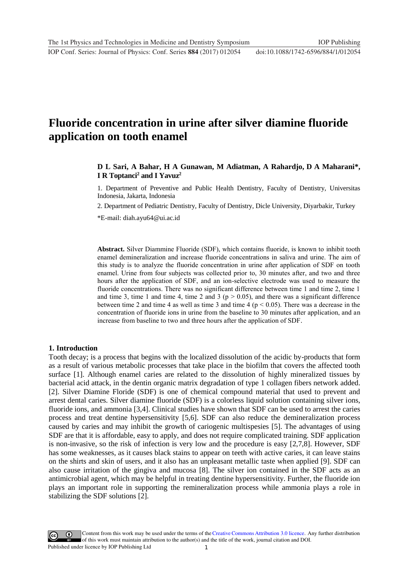# **Fluoride concentration in urine after silver diamine fluoride application on tooth enamel**

### **D L Sari, A Bahar, H A Gunawan, M Adiatman, A Rahardjo, D A Maharani\*, I R Toptanci2 and I Yavuz2**

1. Department of Preventive and Public Health Dentistry, Faculty of Dentistry, Universitas Indonesia, Jakarta, Indonesia

2. Department of Pediatric Dentistry, Faculty of Dentistry, Dicle University, Diyarbakir, Turkey

\*E-mail: diah.ayu64@ui.ac.id

**Abstract.** Silver Diammine Fluoride (SDF), which contains fluoride, is known to inhibit tooth enamel demineralization and increase fluoride concentrations in saliva and urine. The aim of this study is to analyze the fluoride concentration in urine after application of SDF on tooth enamel. Urine from four subjects was collected prior to, 30 minutes after, and two and three hours after the application of SDF, and an ion-selective electrode was used to measure the fluoride concentrations. There was no significant difference between time 1 and time 2, time 1 and time 3, time 1 and time 4, time 2 and 3 ( $p > 0.05$ ), and there was a significant difference between time 2 and time 4 as well as time 3 and time 4 ( $p < 0.05$ ). There was a decrease in the concentration of fluoride ions in urine from the baseline to 30 minutes after application, and an increase from baseline to two and three hours after the application of SDF.

#### **1. Introduction**

Tooth decay; is a process that begins with the localized dissolution of the acidic by-products that form as a result of various metabolic processes that take place in the biofilm that covers the affected tooth surface [1]. Although enamel caries are related to the dissolution of highly mineralized tissues by bacterial acid attack, in the dentin organic matrix degradation of type 1 collagen fibers network added. [2]. Silver Diamine Floride (SDF) is one of chemical compound material that used to prevent and arrest dental caries. Silver diamine fluoride (SDF) is a colorless liquid solution containing silver ions, fluoride ions, and ammonia [3,4]. Clinical studies have shown that SDF can be used to arrest the caries process and treat dentine hypersensitivity [5,6]. SDF can also reduce the demineralization process caused by caries and may inhibit the growth of cariogenic multispesies [5]. The advantages of using SDF are that it is affordable, easy to apply, and does not require complicated training. SDF application is non-invasive, so the risk of infection is very low and the procedure is easy [2,7,8]. However, SDF has some weaknesses, as it causes black stains to appear on teeth with active caries, it can leave stains on the shirts and skin of users, and it also has an unpleasant metallic taste when applied [9]. SDF can also cause irritation of the gingiva and mucosa [8]. The silver ion contained in the SDF acts as an antimicrobial agent, which may be helpful in treating dentine hypersensitivity. Further, the fluoride ion plays an important role in supporting the remineralization process while ammonia plays a role in stabilizing the SDF solutions [2].

1 Content from this work may be used under the terms of the[Creative Commons Attribution 3.0 licence.](http://creativecommons.org/licenses/by/3.0) Any further distribution of this work must maintain attribution to the author(s) and the title of the work, journal citation and DOI. Published under licence by IOP Publishing Ltd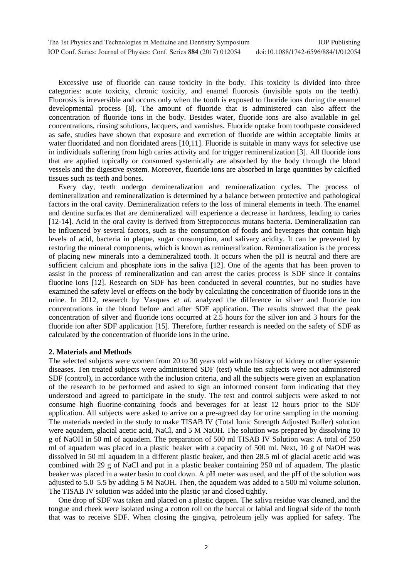Excessive use of fluoride can cause toxicity in the body. This toxicity is divided into three categories: acute toxicity, chronic toxicity, and enamel fluorosis (invisible spots on the teeth). Fluorosis is irreversible and occurs only when the tooth is exposed to fluoride ions during the enamel developmental process [8]. The amount of fluoride that is administered can also affect the concentration of fluoride ions in the body. Besides water, fluoride ions are also available in gel concentrations, rinsing solutions, lacquers, and varnishes. Fluoride uptake from toothpaste considered as safe, studies have shown that exposure and excretion of fluoride are within acceptable limits at water fluoridated and non floridated areas [10,11]. Fluoride is suitable in many ways for selective use in individuals suffering from high caries activity and for trigger remineralization [3]. All fluoride ions that are applied topically or consumed systemically are absorbed by the body through the blood vessels and the digestive system. Moreover, fluoride ions are absorbed in large quantities by calcified tissues such as teeth and bones.

Every day, teeth undergo demineralization and remineralization cycles. The process of demineralization and remineralization is determined by a balance between protective and pathological factors in the oral cavity. Demineralization refers to the loss of mineral elements in teeth. The enamel and dentine surfaces that are demineralized will experience a decrease in hardness, leading to caries [12-14]. Acid in the oral cavity is derived from Streptococcus mutans bacteria. Demineralization can be influenced by several factors, such as the consumption of foods and beverages that contain high levels of acid, bacteria in plaque, sugar consumption, and salivary acidity. It can be prevented by restoring the mineral components, which is known as remineralization. Remineralization is the process of placing new minerals into a demineralized tooth. It occurs when the pH is neutral and there are sufficient calcium and phosphate ions in the saliva [12]. One of the agents that has been proven to assist in the process of remineralization and can arrest the caries process is SDF since it contains fluorine ions [12]. Research on SDF has been conducted in several countries, but no studies have examined the safety level or effects on the body by calculating the concentration of fluoride ions in the urine. In 2012, research by Vasques *et al.* analyzed the difference in silver and fluoride ion concentrations in the blood before and after SDF application. The results showed that the peak concentration of silver and fluoride ions occurred at 2.5 hours for the silver ion and 3 hours for the fluoride ion after SDF application [15]. Therefore, further research is needed on the safety of SDF as calculated by the concentration of fluoride ions in the urine.

### **2. Materials and Methods**

The selected subjects were women from 20 to 30 years old with no history of kidney or other systemic diseases. Ten treated subjects were administered SDF (test) while ten subjects were not administered SDF (control), in accordance with the inclusion criteria, and all the subjects were given an explanation of the research to be performed and asked to sign an informed consent form indicating that they understood and agreed to participate in the study. The test and control subjects were asked to not consume high fluorine-containing foods and beverages for at least 12 hours prior to the SDF application. All subjects were asked to arrive on a pre-agreed day for urine sampling in the morning. The materials needed in the study to make TISAB IV (Total Ionic Strength Adjusted Buffer) solution were aquadem, glacial acetic acid, NaCl, and 5 M NaOH. The solution was prepared by dissolving 10 g of NaOH in 50 ml of aquadem. The preparation of 500 ml TISAB IV Solution was: A total of 250 ml of aquadem was placed in a plastic beaker with a capacity of 500 ml. Next, 10 g of NaOH was dissolved in 50 ml aquadem in a different plastic beaker, and then 28.5 ml of glacial acetic acid was combined with 29 g of NaCl and put in a plastic beaker containing 250 ml of aquadem. The plastic beaker was placed in a water basin to cool down. A pH meter was used, and the pH of the solution was adjusted to 5.0–5.5 by adding 5 M NaOH. Then, the aquadem was added to a 500 ml volume solution. The TISAB IV solution was added into the plastic jar and closed tightly.

One drop of SDF was taken and placed on a plastic dappen. The saliva residue was cleaned, and the tongue and cheek were isolated using a cotton roll on the buccal or labial and lingual side of the tooth that was to receive SDF. When closing the gingiva, petroleum jelly was applied for safety. The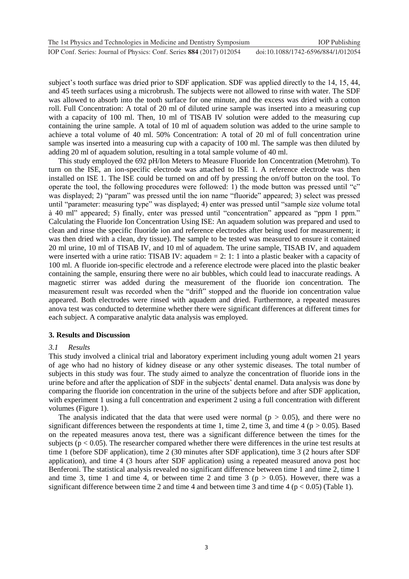subject's tooth surface was dried prior to SDF application. SDF was applied directly to the 14, 15, 44, and 45 teeth surfaces using a microbrush. The subjects were not allowed to rinse with water. The SDF was allowed to absorb into the tooth surface for one minute, and the excess was dried with a cotton roll. Full Concentration: A total of 20 ml of diluted urine sample was inserted into a measuring cup with a capacity of 100 ml. Then, 10 ml of TISAB IV solution were added to the measuring cup containing the urine sample. A total of 10 ml of aquadem solution was added to the urine sample to achieve a total volume of 40 ml. 50% Concentration: A total of 20 ml of full concentration urine sample was inserted into a measuring cup with a capacity of 100 ml. The sample was then diluted by adding 20 ml of aquadem solution, resulting in a total sample volume of 40 ml.

This study employed the 692 pH/Ion Meters to Measure Fluoride Ion Concentration (Metrohm). To turn on the ISE, an ion-specific electrode was attached to ISE 1. A reference electrode was then installed on ISE 1. The ISE could be turned on and off by pressing the on/off button on the tool. To operate the tool, the following procedures were followed: 1) the mode button was pressed until "c" was displayed; 2) "param" was pressed until the ion name "fluoride" appeared; 3) select was pressed until "parameter: measuring type" was displayed; 4) enter was pressed until "sample size volume total à 40 ml" appeared; 5) finally, enter was pressed until "concentration" appeared as "ppm 1 ppm." Calculating the Fluoride Ion Concentration Using ISE: An aquadem solution was prepared and used to clean and rinse the specific fluoride ion and reference electrodes after being used for measurement; it was then dried with a clean, dry tissue). The sample to be tested was measured to ensure it contained 20 ml urine, 10 ml of TISAB IV, and 10 ml of aquadem. The urine sample, TISAB IV, and aquadem were inserted with a urine ratio: TISAB IV: aquadem  $= 2$ : 1: 1 into a plastic beaker with a capacity of 100 ml. A fluoride ion-specific electrode and a reference electrode were placed into the plastic beaker containing the sample, ensuring there were no air bubbles, which could lead to inaccurate readings. A magnetic stirrer was added during the measurement of the fluoride ion concentration. The measurement result was recorded when the "drift" stopped and the fluoride ion concentration value appeared. Both electrodes were rinsed with aquadem and dried. Furthermore, a repeated measures anova test was conducted to determine whether there were significant differences at different times for each subject. A comparative analytic data analysis was employed.

### **3. Results and Discussion**

### *3.1 Results*

This study involved a clinical trial and laboratory experiment including young adult women 21 years of age who had no history of kidney disease or any other systemic diseases. The total number of subjects in this study was four. The study aimed to analyze the concentration of fluoride ions in the urine before and after the application of SDF in the subjects' dental enamel. Data analysis was done by comparing the fluoride ion concentration in the urine of the subjects before and after SDF application, with experiment 1 using a full concentration and experiment 2 using a full concentration with different volumes (Figure 1).

The analysis indicated that the data that were used were normal ( $p > 0.05$ ), and there were no significant differences between the respondents at time 1, time 2, time 3, and time 4 ( $p > 0.05$ ). Based on the repeated measures anova test, there was a significant difference between the times for the subjects ( $p < 0.05$ ). The researcher compared whether there were differences in the urine test results at time 1 (before SDF application), time 2 (30 minutes after SDF application), time 3 (2 hours after SDF application), and time 4 (3 hours after SDF application) using a repeated measured anova post hoc Benferoni. The statistical analysis revealed no significant difference between time 1 and time 2, time 1 and time 3, time 1 and time 4, or between time 2 and time 3 ( $p > 0.05$ ). However, there was a significant difference between time 2 and time 4 and between time 3 and time 4 ( $p < 0.05$ ) (Table 1).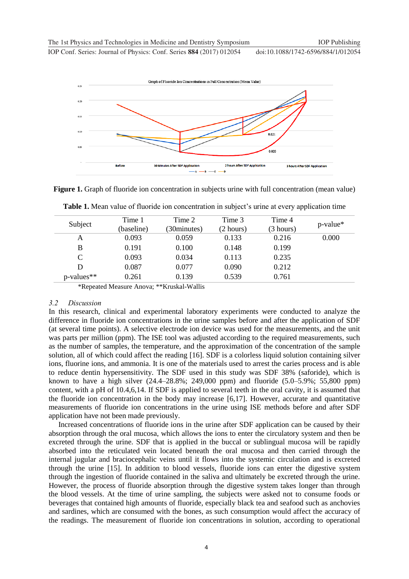**1234567890** IOP Conf. Series: Journal of Physics: Conf. Series **884** (2017) 012054 doi :10.1088/1742-6596/884/1/012054



**Figure 1.** Graph of fluoride ion concentration in subjects urine with full concentration (mean value)

| Subject                                                                                                      | Time 1     | Time 2      | Time 3    | Time 4    | $p$ -value* |
|--------------------------------------------------------------------------------------------------------------|------------|-------------|-----------|-----------|-------------|
|                                                                                                              | (baseline) | (30minutes) | (2 hours) | (3 hours) |             |
| А                                                                                                            | 0.093      | 0.059       | 0.133     | 0.216     | 0.000       |
| B                                                                                                            | 0.191      | 0.100       | 0.148     | 0.199     |             |
| C                                                                                                            | 0.093      | 0.034       | 0.113     | 0.235     |             |
| D                                                                                                            | 0.087      | 0.077       | 0.090     | 0.212     |             |
| p-values**                                                                                                   | 0.261      | 0.139       | 0.539     | 0.761     |             |
| $*D_1$ $\ldots$ $\ldots$ $I_1$ $I_2$ $\ldots$ $I_n$ $I_2$ $\ldots$ $I_n$ $I_2$ $I_3$ $I_4$ $I_5$ $I_6$ $I_7$ |            |             |           |           |             |

\*Repeated Measure Anova; \*\*Kruskal-Wallis

### *3.2 Discussion*

In this research, clinical and experimental laboratory experiments were conducted to analyze the difference in fluoride ion concentrations in the urine samples before and after the application of SDF (at several time points). A selective electrode ion device was used for the measurements, and the unit was parts per million (ppm). The ISE tool was adjusted according to the required measurements, such as the number of samples, the temperature, and the approximation of the concentration of the sample solution, all of which could affect the reading [16]. SDF is a colorless liquid solution containing silver ions, fluorine ions, and ammonia. It is one of the materials used to arrest the caries process and is able to reduce dentin hypersensitivity. The SDF used in this study was SDF 38% (saforide), which is known to have a high silver (24.4–28.8%; 249,000 ppm) and fluoride (5.0–5.9%; 55,800 ppm) content, with a pH of 10.4,6,14. If SDF is applied to several teeth in the oral cavity, it is assumed that the fluoride ion concentration in the body may increase [6,17]. However, accurate and quantitative measurements of fluoride ion concentrations in the urine using ISE methods before and after SDF application have not been made previously.

Increased concentrations of fluoride ions in the urine after SDF application can be caused by their absorption through the oral mucosa, which allows the ions to enter the circulatory system and then be excreted through the urine. SDF that is applied in the buccal or sublingual mucosa will be rapidly absorbed into the reticulated vein located beneath the oral mucosa and then carried through the internal jugular and braciocephalic veins until it flows into the systemic circulation and is excreted through the urine [15]. In addition to blood vessels, fluoride ions can enter the digestive system through the ingestion of fluoride contained in the saliva and ultimately be excreted through the urine. However, the process of fluoride absorption through the digestive system takes longer than through the blood vessels. At the time of urine sampling, the subjects were asked not to consume foods or beverages that contained high amounts of fluoride, especially black tea and seafood such as anchovies and sardines, which are consumed with the bones, as such consumption would affect the accuracy of the readings. The measurement of fluoride ion concentrations in solution, according to operational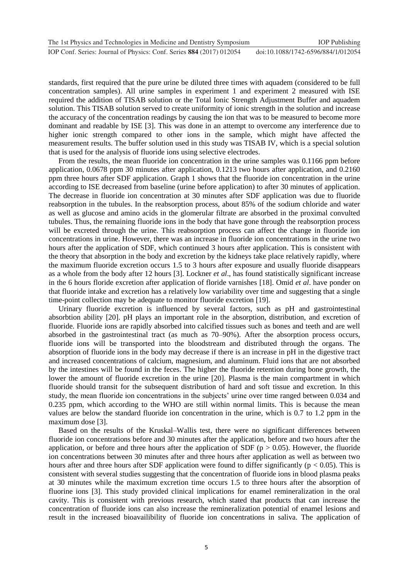standards, first required that the pure urine be diluted three times with aquadem (considered to be full concentration samples). All urine samples in experiment 1 and experiment 2 measured with ISE required the addition of TISAB solution or the Total Ionic Strength Adjustment Buffer and aquadem solution. This TISAB solution served to create uniformity of ionic strength in the solution and increase the accuracy of the concentration readings by causing the ion that was to be measured to become more dominant and readable by ISE [3]. This was done in an attempt to overcome any interference due to higher ionic strength compared to other ions in the sample, which might have affected the measurement results. The buffer solution used in this study was TISAB IV, which is a special solution that is used for the analysis of fluoride ions using selective electrodes.

From the results, the mean fluoride ion concentration in the urine samples was 0.1166 ppm before application, 0.0678 ppm 30 minutes after application, 0.1213 two hours after application, and 0.2160 ppm three hours after SDF application. Graph 1 shows that the fluoride ion concentration in the urine according to ISE decreased from baseline (urine before application) to after 30 minutes of application. The decrease in fluoride ion concentration at 30 minutes after SDF application was due to fluoride reabsorption in the tubules. In the reabsorption process, about 85% of the sodium chloride and water as well as glucose and amino acids in the glomerular filtrate are absorbed in the proximal convulted tubules. Thus, the remaining fluoride ions in the body that have gone through the reabsorption process will be excreted through the urine. This reabsorption process can affect the change in fluoride ion concentrations in urine. However, there was an increase in fluoride ion concentrations in the urine two hours after the application of SDF, which continued 3 hours after application. This is consistent with the theory that absorption in the body and excretion by the kidneys take place relatively rapidly, where the maximum fluoride excretion occurs 1.5 to 3 hours after exposure and usually fluoride disappears as a whole from the body after 12 hours [3]. Lockner *et al*., has found statistically significant increase in the 6 hours floride excretion after application of floride varnishes [18]. Omid *et al*. have ponder on that fluoride intake and excretion has a relatively low variability over time and suggesting that a single time-point collection may be adequate to monitor fluoride excretion [19].

Urinary fluoride excretion is influenced by several factors, such as pH and gastrointestinal absorbtion ability [20]. pH plays an important role in the absorption, distribution, and excretion of fluoride. Fluoride ions are rapidly absorbed into calcified tissues such as bones and teeth and are well absorbed in the gastrointestinal tract (as much as 70–90%). After the absorption process occurs, fluoride ions will be transported into the bloodstream and distributed through the organs. The absorption of fluoride ions in the body may decrease if there is an increase in pH in the digestive tract and increased concentrations of calcium, magnesium, and aluminum. Fluid ions that are not absorbed by the intestines will be found in the feces. The higher the fluoride retention during bone growth, the lower the amount of fluoride excretion in the urine [20]. Plasma is the main compartment in which fluoride should transit for the subsequent distribution of hard and soft tissue and excretion. In this study, the mean fluoride ion concentrations in the subjects' urine over time ranged between 0.034 and 0.235 ppm, which according to the WHO are still within normal limits. This is because the mean values are below the standard fluoride ion concentration in the urine, which is 0.7 to 1.2 ppm in the maximum dose [3].

Based on the results of the Kruskal–Wallis test, there were no significant differences between fluoride ion concentrations before and 30 minutes after the application, before and two hours after the application, or before and three hours after the application of SDF ( $p > 0.05$ ). However, the fluoride ion concentrations between 30 minutes after and three hours after application as well as between two hours after and three hours after SDF application were found to differ significantly ( $p < 0.05$ ). This is consistent with several studies suggesting that the concentration of fluoride ions in blood plasma peaks at 30 minutes while the maximum excretion time occurs 1.5 to three hours after the absorption of fluorine ions [3]. This study provided clinical implications for enamel remineralization in the oral cavity. This is consistent with previous research, which stated that products that can increase the concentration of fluoride ions can also increase the remineralization potential of enamel lesions and result in the increased bioavailibility of fluoride ion concentrations in saliva. The application of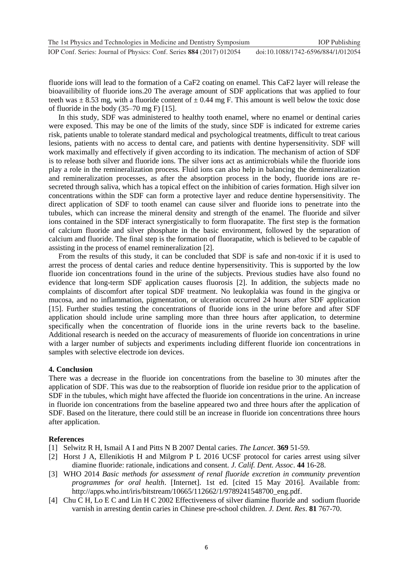fluoride ions will lead to the formation of a CaF2 coating on enamel. This CaF2 layer will release the bioavailibility of fluoride ions.20 The average amount of SDF applications that was applied to four teeth was  $\pm$  8.53 mg, with a fluoride content of  $\pm$  0.44 mg F. This amount is well below the toxic dose of fluoride in the body (35–70 mg F) [15].

In this study, SDF was administered to healthy tooth enamel, where no enamel or dentinal caries were exposed. This may be one of the limits of the study, since SDF is indicated for extreme caries risk, patients unable to tolerate standard medical and psychological treatments, difficult to treat carious lesions, patients with no access to dental care, and patients with dentine hypersensitivity. SDF will work maximally and effectively if given according to its indication. The mechanism of action of SDF is to release both silver and fluoride ions. The silver ions act as antimicrobials while the fluoride ions play a role in the remineralization process. Fluid ions can also help in balancing the demineralization and remineralization processes, as after the absorption process in the body, fluoride ions are resecreted through saliva, which has a topical effect on the inhibition of caries formation. High silver ion concentrations within the SDF can form a protective layer and reduce dentine hypersensitivity. The direct application of SDF to tooth enamel can cause silver and fluoride ions to penetrate into the tubules, which can increase the mineral density and strength of the enamel. The fluoride and silver ions contained in the SDF interact synergistically to form fluorapatite. The first step is the formation of calcium fluoride and silver phosphate in the basic environment, followed by the separation of calcium and fluoride. The final step is the formation of fluorapatite, which is believed to be capable of assisting in the process of enamel remineralization [2].

From the results of this study, it can be concluded that SDF is safe and non-toxic if it is used to arrest the process of dental caries and reduce dentine hypersensitivity. This is supported by the low fluoride ion concentrations found in the urine of the subjects. Previous studies have also found no evidence that long-term SDF application causes fluorosis [2]. In addition, the subjects made no complaints of discomfort after topical SDF treatment. No leukoplakia was found in the gingiva or mucosa, and no inflammation, pigmentation, or ulceration occurred 24 hours after SDF application [15]. Further studies testing the concentrations of fluoride ions in the urine before and after SDF application should include urine sampling more than three hours after application, to determine specifically when the concentration of fluoride ions in the urine reverts back to the baseline. Additional research is needed on the accuracy of measurements of fluoride ion concentrations in urine with a larger number of subjects and experiments including different fluoride ion concentrations in samples with selective electrode ion devices.

### **4. Conclusion**

There was a decrease in the fluoride ion concentrations from the baseline to 30 minutes after the application of SDF. This was due to the reabsorption of fluoride ion residue prior to the application of SDF in the tubules, which might have affected the fluoride ion concentrations in the urine. An increase in fluoride ion concentrations from the baseline appeared two and three hours after the application of SDF. Based on the literature, there could still be an increase in fluoride ion concentrations three hours after application.

## **References**

- [1] Selwitz R H, Ismail A I and Pitts N B 2007 Dental caries. *The Lancet*. **369** 51-59.
- [2] Horst J A, Ellenikiotis H and Milgrom P L 2016 UCSF protocol for caries arrest using silver diamine fluoride: rationale, indications and consent. *J. Calif. Dent. Assoc*. **44** 16-28.
- [3] WHO 2014 *Basic methods for assessment of renal fluoride excretion in community prevention programmes for oral health*. [Internet]. 1st ed. [cited 15 May 2016]. Available from: http://apps.who.int/iris/bitstream/10665/112662/1/9789241548700\_eng.pdf.
- [4] Chu C H, Lo E C and Lin H C 2002 Effectiveness of silver diamine fluoride and sodium fluoride varnish in arresting dentin caries in Chinese pre-school children. *J. Dent. Res*. **81** 767-70.